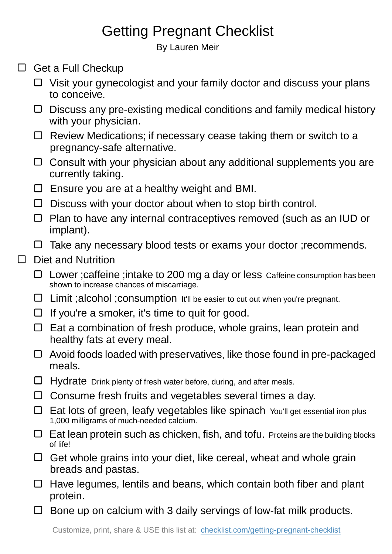## Getting Pregnant Checklist

By Lauren Meir

- $\Box$  Get a Full Checkup
	- $\Box$  Visit your gynecologist and your family doctor and discuss your plans to conceive.
	- $\Box$  Discuss any pre-existing medical conditions and family medical history with your physician.
	- □ Review Medications; if necessary cease taking them or switch to a pregnancy-safe alternative.
	- $\Box$  Consult with your physician about any additional supplements you are currently taking.
	- $\square$  Ensure you are at a healthy weight and BMI.
	- $\square$  Discuss with your doctor about when to stop birth control.
	- $\Box$  Plan to have any internal contraceptives removed (such as an IUD or implant).
	- $\Box$  Take any necessary blood tests or exams your doctor ; recommends.

## $\Box$  Diet and Nutrition

- □ Lower ; caffeine ; intake to 200 mg a day or less Caffeine consumption has been shown to increase chances of miscarriage.
- $\square$  Limit ; alcohol ; consumption It'll be easier to cut out when you're pregnant.
- $\Box$  If you're a smoker, it's time to quit for good.
- $\Box$  Eat a combination of fresh produce, whole grains, lean protein and healthy fats at every meal.
- $\Box$  Avoid foods loaded with preservatives, like those found in pre-packaged meals.
- $\Box$  Hydrate Drink plenty of fresh water before, during, and after meals.
- $\Box$  Consume fresh fruits and vegetables several times a day.
- Eat lots of green, leafy vegetables like spinach You'll get essential iron plus 1,000 milligrams of much-needed calcium.
- $\Box$  Eat lean protein such as chicken, fish, and tofu. Proteins are the building blocks of life!
- $\Box$  Get whole grains into your diet, like cereal, wheat and whole grain breads and pastas.
- $\Box$  Have legumes, lentils and beans, which contain both fiber and plant protein.
- $\Box$  Bone up on calcium with 3 daily servings of low-fat milk products.